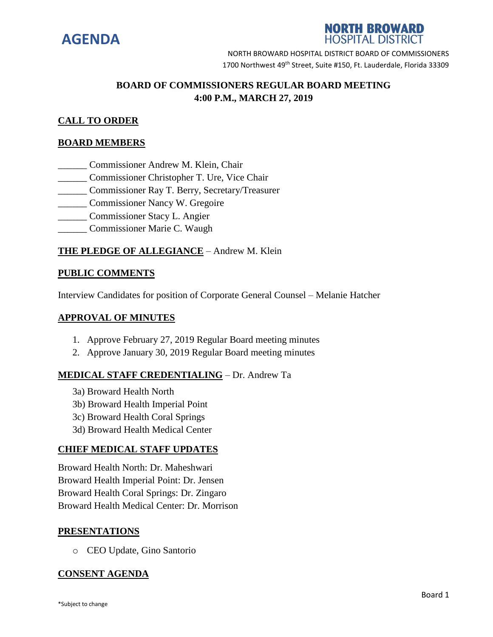

# **NORTH BROWARD HOSPITAL DISTRICT**

NORTH BROWARD HOSPITAL DISTRICT BOARD OF COMMISSIONERS 1700 Northwest 49<sup>th</sup> Street, Suite #150, Ft. Lauderdale, Florida 33309

# **BOARD OF COMMISSIONERS REGULAR BOARD MEETING 4:00 P.M., MARCH 27, 2019**

# **CALL TO ORDER**

# **BOARD MEMBERS**

- \_\_\_\_\_\_ Commissioner Andrew M. Klein, Chair
- \_\_\_\_\_\_ Commissioner Christopher T. Ure, Vice Chair
- \_\_\_\_\_\_ Commissioner Ray T. Berry, Secretary/Treasurer
- \_\_\_\_\_\_ Commissioner Nancy W. Gregoire
- \_\_\_\_\_\_ Commissioner Stacy L. Angier
- \_\_\_\_\_\_ Commissioner Marie C. Waugh

# **THE PLEDGE OF ALLEGIANCE** – Andrew M. Klein

#### **PUBLIC COMMENTS**

Interview Candidates for position of Corporate General Counsel – Melanie Hatcher

#### **APPROVAL OF MINUTES**

- 1. Approve February 27, 2019 Regular Board meeting minutes
- 2. Approve January 30, 2019 Regular Board meeting minutes

# **MEDICAL STAFF CREDENTIALING** – Dr. Andrew Ta

- 3a) Broward Health North
- 3b) Broward Health Imperial Point
- 3c) Broward Health Coral Springs
- 3d) Broward Health Medical Center

#### **CHIEF MEDICAL STAFF UPDATES**

Broward Health North: Dr. Maheshwari Broward Health Imperial Point: Dr. Jensen Broward Health Coral Springs: Dr. Zingaro Broward Health Medical Center: Dr. Morrison

# **PRESENTATIONS**

o CEO Update, Gino Santorio

# **CONSENT AGENDA**